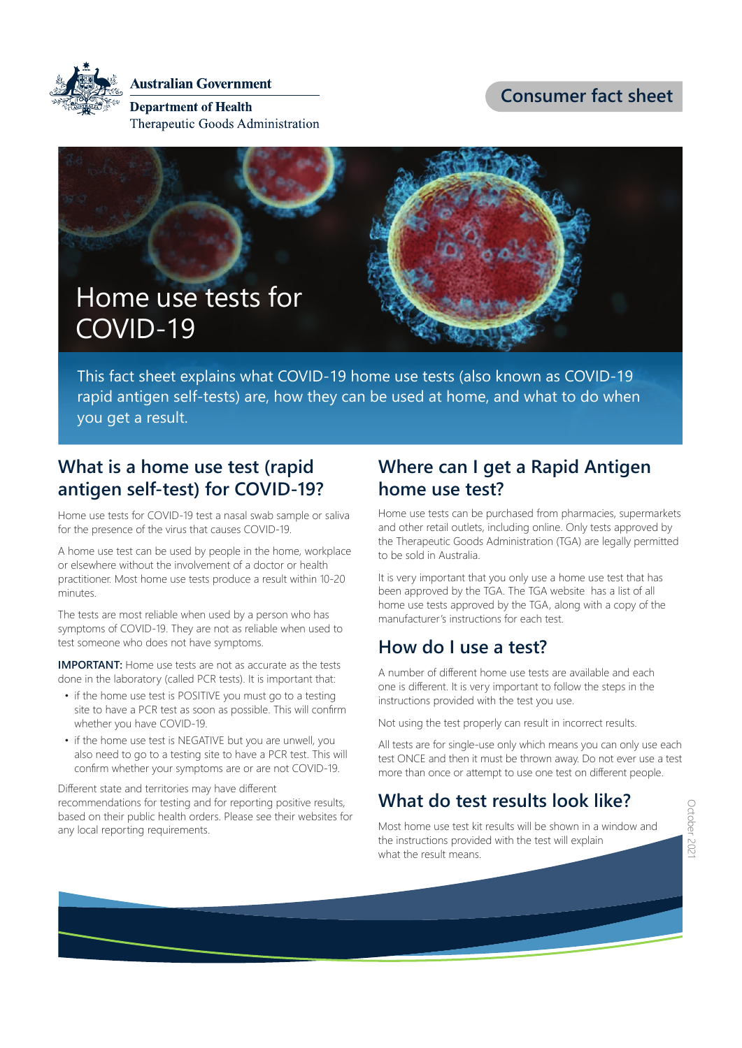**Australian Government** 

**Department of Health** Therapeutic Goods Administration **Consumer fact sheet**



This fact sheet explains what COVID-19 home use tests (also known as COVID-19 rapid antigen self-tests) are, how they can be used at home, and what to do when you get a result.

## **What is a home use test (rapid antigen self-test) for COVID-19?**

Home use tests for COVID-19 test a nasal swab sample or saliva for the presence of the virus that causes COVID-19.

A home use test can be used by people in the home, workplace or elsewhere without the involvement of a doctor or health practitioner. Most home use tests produce a result within 10-20 minutes.

The tests are most reliable when used by a person who has symptoms of COVID-19. They are not as reliable when used to test someone who does not have symptoms.

**IMPORTANT:** Home use tests are not as accurate as the tests done in the laboratory (called PCR tests). It is important that:

- if the home use test is POSITIVE you must go to a testing site to have a PCR test as soon as possible. This will confirm whether you have COVID-19.
- if the home use test is NEGATIVE but you are unwell, you also need to go to a testing site to have a PCR test. This will confirm whether your symptoms are or are not COVID-19.

Different state and territories may have different recommendations for testing and for reporting positive results, based on their public health orders. Please see their websites for any local reporting requirements.

## **Where can I get a Rapid Antigen home use test?**

Home use tests can be purchased from pharmacies, supermarkets and other retail outlets, including online. Only tests approved by the Therapeutic Goods Administration (TGA) are legally permitted to be sold in Australia.

It is very important that you only use a home use test that has been approved by the TGA. The TGA website has a list of all home use tests approved by the TGA, along with a copy of the manufacturer's instructions for each test.

# **How do I use a test?**

A number of different home use tests are available and each one is different. It is very important to follow the steps in the instructions provided with the test you use.

Not using the test properly can result in incorrect results.

All tests are for single-use only which means you can only use each test ONCE and then it must be thrown away. Do not ever use a test more than once or attempt to use one test on different people.

# **What do test results look like?**

Most home use test kit results will be shown in a window and the instructions provided with the test will explain what the result means.

October 2021 Japaner 2021